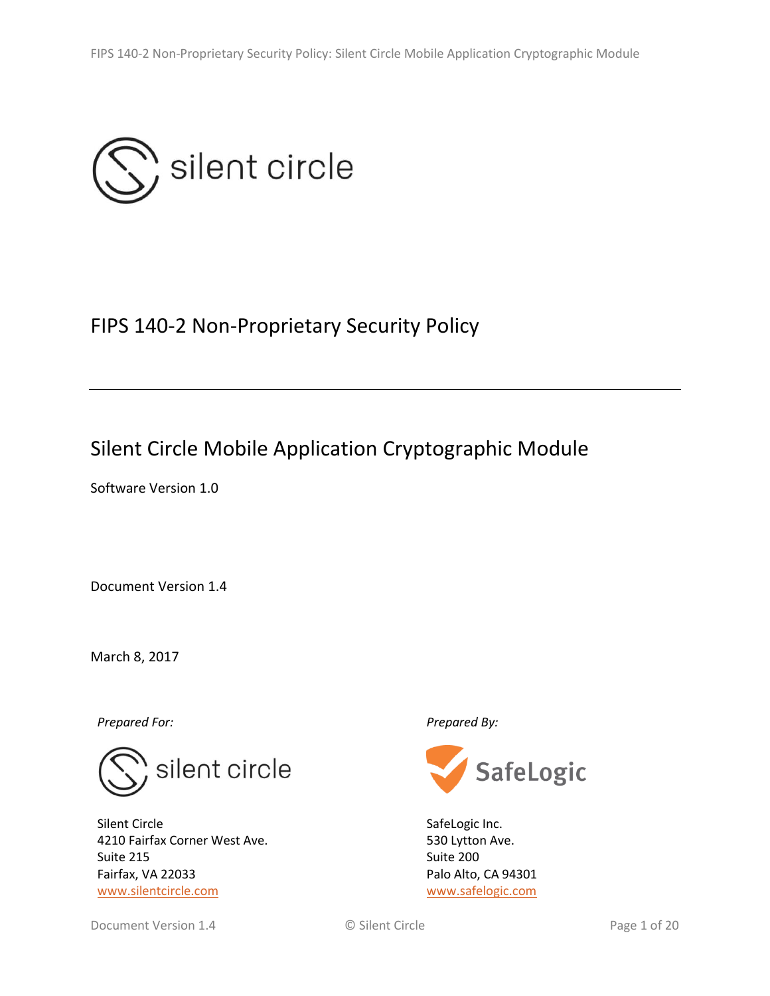

# FIPS 140-2 Non-Proprietary Security Policy

# Silent Circle Mobile Application Cryptographic Module

Software Version 1.0

Document Version 1.4

March 8, 2017

*Prepared For: Prepared By:*



Silent Circle 4210 Fairfax Corner West Ave. Suite 215 Fairfax, VA 22033 [www.silentcircle.com](http://www.silentcircle.com/)



SafeLogic Inc. 530 Lytton Ave. Suite 200 Palo Alto, CA 94301 [www.safelogic.com](http://www.safelogic.com/)

Document Version 1.4 **Community** C Silent Circle **Page 1 of 20** Silent Circle **Page 1 of 20**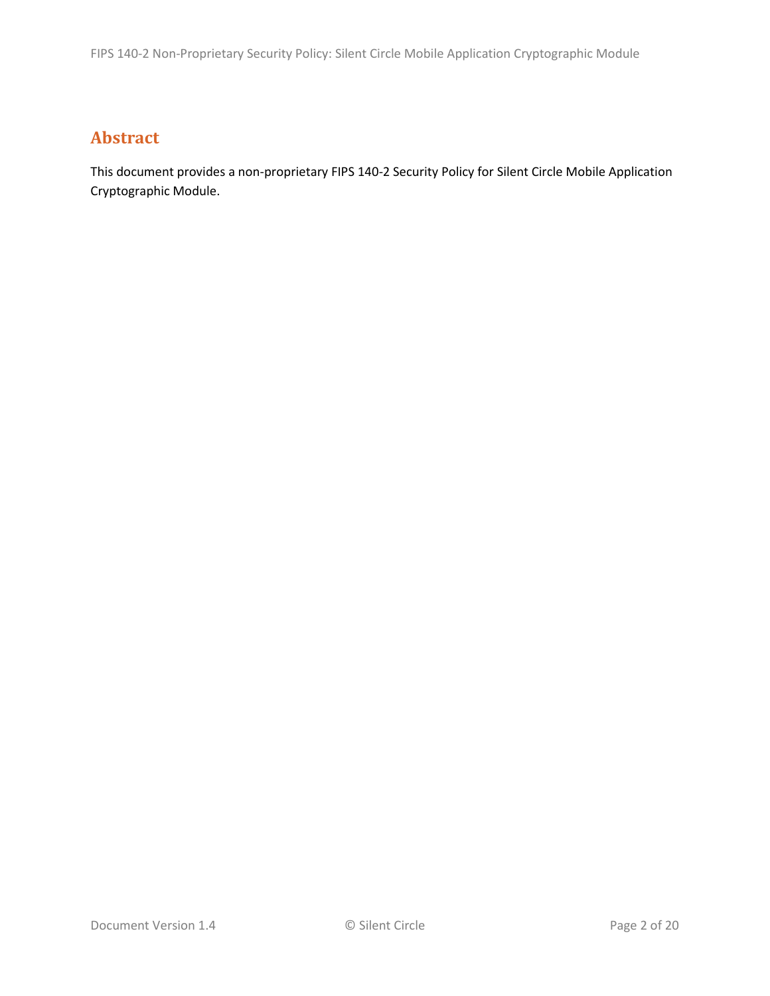## **Abstract**

This document provides a non-proprietary FIPS 140-2 Security Policy for Silent Circle Mobile Application Cryptographic Module.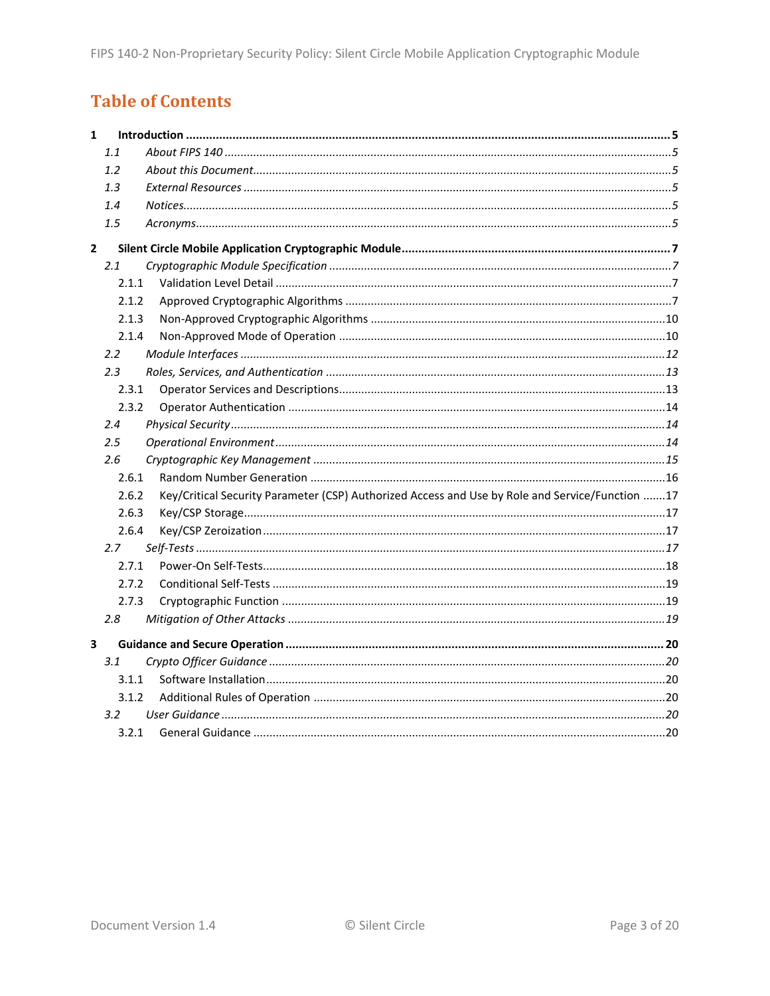## **Table of Contents**

| $\mathbf{1}$   |         |                                                                                                 |  |
|----------------|---------|-------------------------------------------------------------------------------------------------|--|
|                | 1.1     |                                                                                                 |  |
|                | 1.2     |                                                                                                 |  |
|                | 1.3     |                                                                                                 |  |
|                | 1.4     |                                                                                                 |  |
|                | 1.5     |                                                                                                 |  |
| $\overline{2}$ |         |                                                                                                 |  |
|                | 2.1     |                                                                                                 |  |
|                | 2.1.1   |                                                                                                 |  |
|                | 2.1.2   |                                                                                                 |  |
|                | 2.1.3   |                                                                                                 |  |
|                | 2.1.4   |                                                                                                 |  |
|                | 2.2     |                                                                                                 |  |
|                | 2.3     |                                                                                                 |  |
|                | 2.3.1   |                                                                                                 |  |
|                | 2.3.2   |                                                                                                 |  |
|                | 2.4     |                                                                                                 |  |
|                | $2.5\,$ |                                                                                                 |  |
|                | 2.6     |                                                                                                 |  |
|                | 2.6.1   |                                                                                                 |  |
|                | 2.6.2   | Key/Critical Security Parameter (CSP) Authorized Access and Use by Role and Service/Function 17 |  |
|                | 2.6.3   |                                                                                                 |  |
|                | 2.6.4   |                                                                                                 |  |
|                | 2.7     |                                                                                                 |  |
|                | 2.7.1   |                                                                                                 |  |
|                | 2.7.2   |                                                                                                 |  |
|                | 2.7.3   |                                                                                                 |  |
|                | 2.8     |                                                                                                 |  |
| 3              |         |                                                                                                 |  |
|                | 3.1     |                                                                                                 |  |
|                | 3.1.1   |                                                                                                 |  |
|                | 3.1.2   |                                                                                                 |  |
|                | 3.2     |                                                                                                 |  |
|                | 3.2.1   |                                                                                                 |  |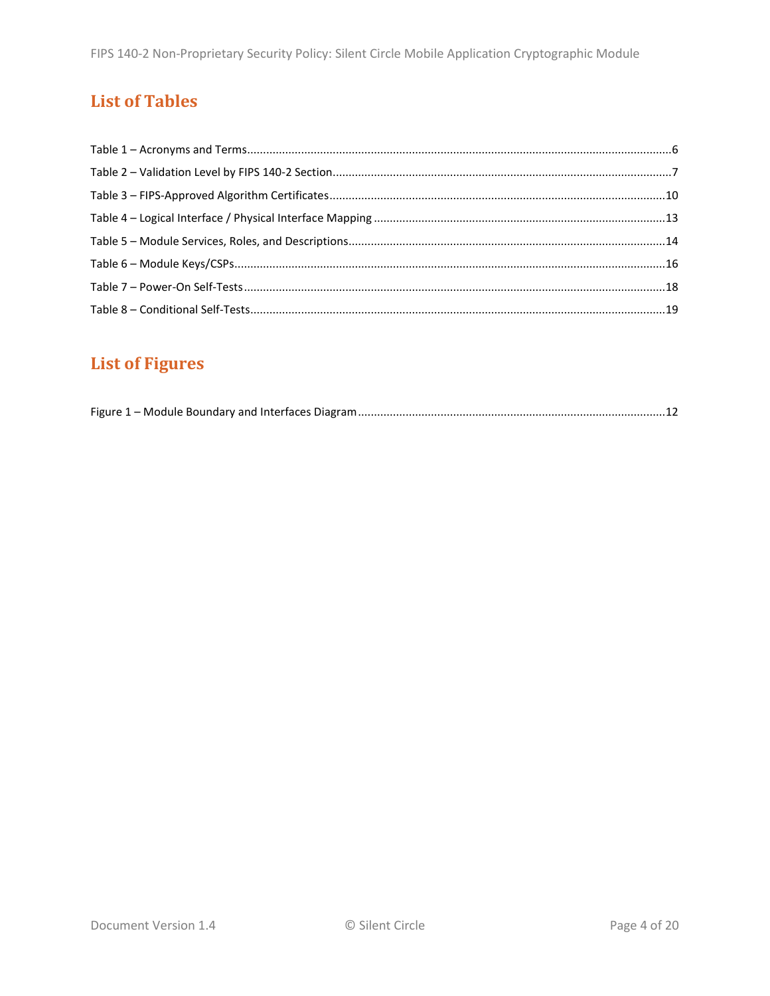## **List of Tables**

# **List of Figures**

|--|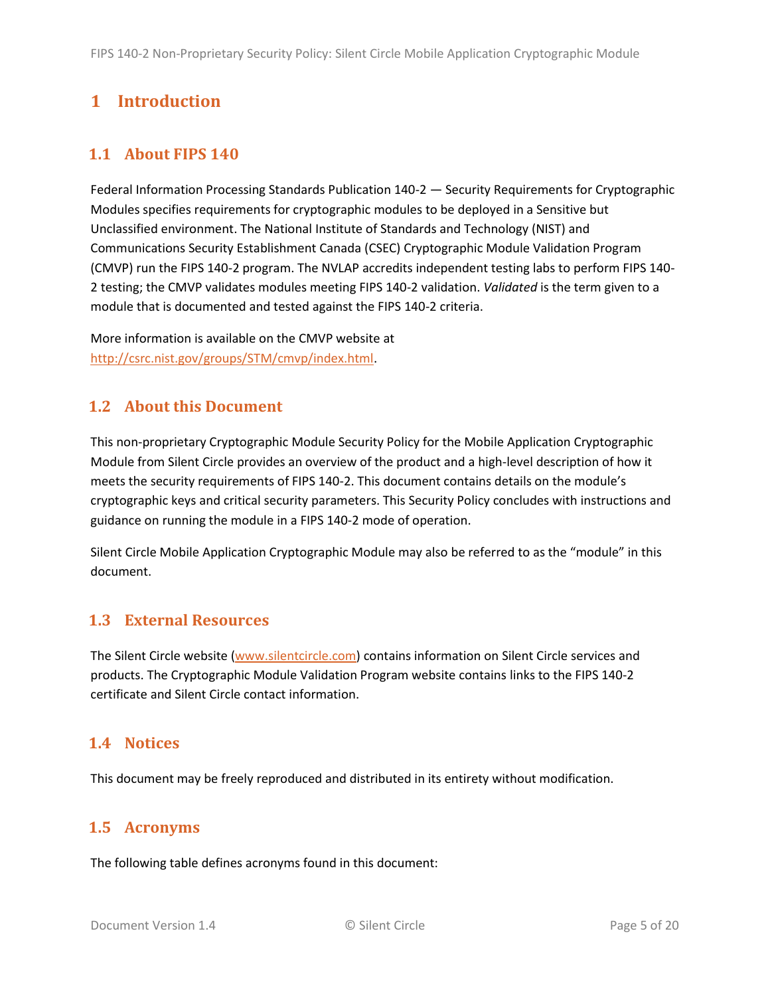## <span id="page-4-0"></span>**1 Introduction**

## <span id="page-4-1"></span>**1.1 About FIPS 140**

Federal Information Processing Standards Publication 140-2 — Security Requirements for Cryptographic Modules specifies requirements for cryptographic modules to be deployed in a Sensitive but Unclassified environment. The National Institute of Standards and Technology (NIST) and Communications Security Establishment Canada (CSEC) Cryptographic Module Validation Program (CMVP) run the FIPS 140-2 program. The NVLAP accredits independent testing labs to perform FIPS 140- 2 testing; the CMVP validates modules meeting FIPS 140-2 validation. *Validated* is the term given to a module that is documented and tested against the FIPS 140-2 criteria.

More information is available on the CMVP website at [http://csrc.nist.gov/groups/STM/cmvp/index.html.](http://csrc.nist.gov/groups/STM/cmvp/index.html)

### <span id="page-4-2"></span>**1.2 About this Document**

This non-proprietary Cryptographic Module Security Policy for the Mobile Application Cryptographic Module from Silent Circle provides an overview of the product and a high-level description of how it meets the security requirements of FIPS 140-2. This document contains details on the module's cryptographic keys and critical security parameters. This Security Policy concludes with instructions and guidance on running the module in a FIPS 140-2 mode of operation.

Silent Circle Mobile Application Cryptographic Module may also be referred to as the "module" in this document.

### <span id="page-4-3"></span>**1.3 External Resources**

The Silent Circle website [\(www.silentcircle.com\)](http://www.globoplc.com/) contains information on Silent Circle services and products. The Cryptographic Module Validation Program website contains links to the FIPS 140-2 certificate and Silent Circle contact information.

### <span id="page-4-4"></span>**1.4 Notices**

This document may be freely reproduced and distributed in its entirety without modification.

### <span id="page-4-5"></span>**1.5 Acronyms**

The following table defines acronyms found in this document: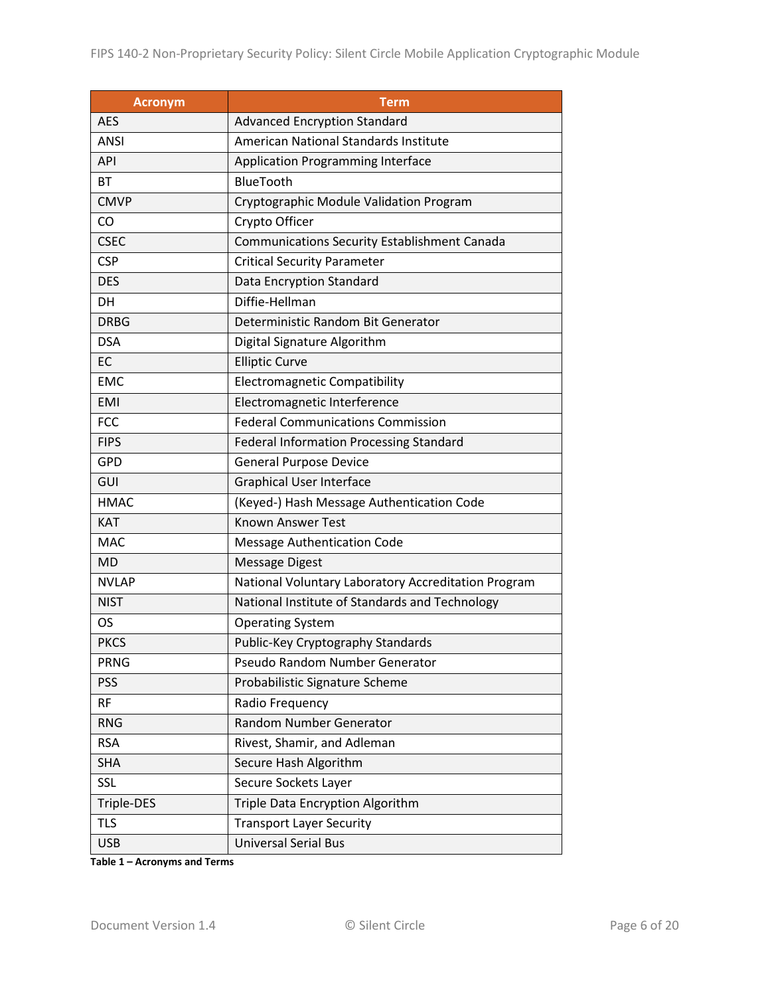| <b>Acronym</b> | <b>Term</b>                                         |  |  |  |
|----------------|-----------------------------------------------------|--|--|--|
| <b>AES</b>     | <b>Advanced Encryption Standard</b>                 |  |  |  |
| <b>ANSI</b>    | American National Standards Institute               |  |  |  |
| <b>API</b>     | <b>Application Programming Interface</b>            |  |  |  |
| <b>BT</b>      | BlueTooth                                           |  |  |  |
| <b>CMVP</b>    | Cryptographic Module Validation Program             |  |  |  |
| CO             | Crypto Officer                                      |  |  |  |
| <b>CSEC</b>    | <b>Communications Security Establishment Canada</b> |  |  |  |
| <b>CSP</b>     | <b>Critical Security Parameter</b>                  |  |  |  |
| <b>DES</b>     | Data Encryption Standard                            |  |  |  |
| DH             | Diffie-Hellman                                      |  |  |  |
| <b>DRBG</b>    | Deterministic Random Bit Generator                  |  |  |  |
| <b>DSA</b>     | Digital Signature Algorithm                         |  |  |  |
| EC             | <b>Elliptic Curve</b>                               |  |  |  |
| <b>EMC</b>     | <b>Electromagnetic Compatibility</b>                |  |  |  |
| <b>EMI</b>     | Electromagnetic Interference                        |  |  |  |
| <b>FCC</b>     | <b>Federal Communications Commission</b>            |  |  |  |
| <b>FIPS</b>    | <b>Federal Information Processing Standard</b>      |  |  |  |
| <b>GPD</b>     | <b>General Purpose Device</b>                       |  |  |  |
| GUI            | <b>Graphical User Interface</b>                     |  |  |  |
| <b>HMAC</b>    | (Keyed-) Hash Message Authentication Code           |  |  |  |
| KAT            | <b>Known Answer Test</b>                            |  |  |  |
| <b>MAC</b>     | <b>Message Authentication Code</b>                  |  |  |  |
| <b>MD</b>      | <b>Message Digest</b>                               |  |  |  |
| <b>NVLAP</b>   | National Voluntary Laboratory Accreditation Program |  |  |  |
| <b>NIST</b>    | National Institute of Standards and Technology      |  |  |  |
| OS             | <b>Operating System</b>                             |  |  |  |
| <b>PKCS</b>    | Public-Key Cryptography Standards                   |  |  |  |
| <b>PRNG</b>    | Pseudo Random Number Generator                      |  |  |  |
| <b>PSS</b>     | Probabilistic Signature Scheme                      |  |  |  |
| <b>RF</b>      | Radio Frequency                                     |  |  |  |
| <b>RNG</b>     | <b>Random Number Generator</b>                      |  |  |  |
| <b>RSA</b>     | Rivest, Shamir, and Adleman                         |  |  |  |
| <b>SHA</b>     | Secure Hash Algorithm                               |  |  |  |
| <b>SSL</b>     | Secure Sockets Layer                                |  |  |  |
| Triple-DES     | Triple Data Encryption Algorithm                    |  |  |  |
| <b>TLS</b>     | <b>Transport Layer Security</b>                     |  |  |  |
| <b>USB</b>     | <b>Universal Serial Bus</b>                         |  |  |  |

**Table 1 – Acronyms and Terms**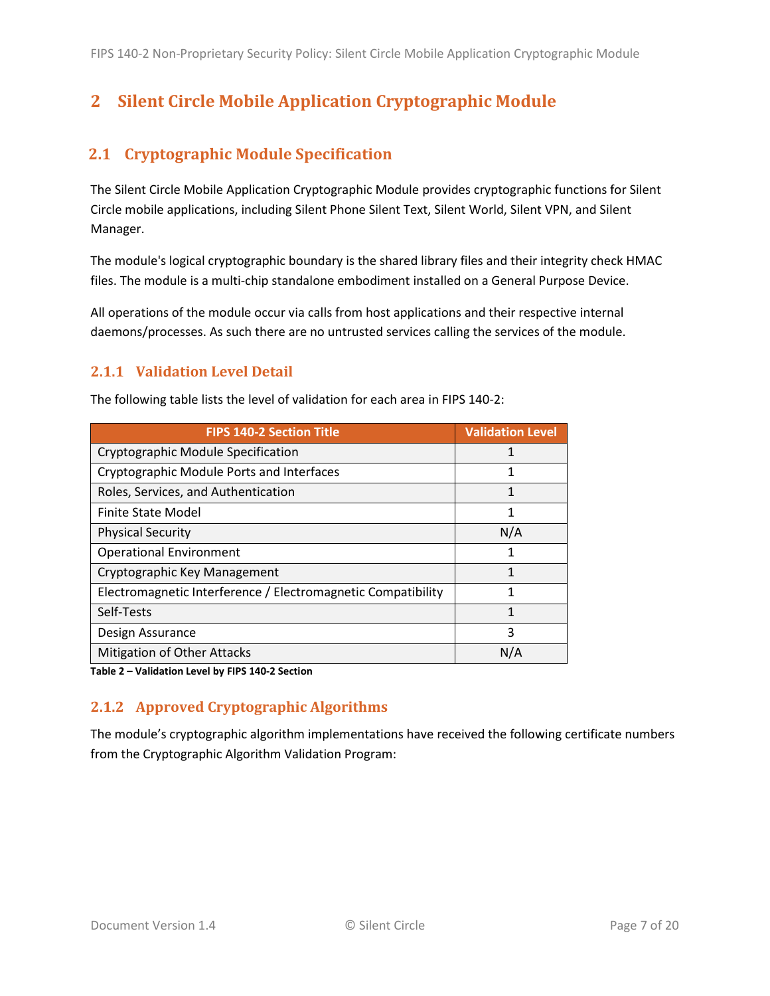## <span id="page-6-0"></span>**2 Silent Circle Mobile Application Cryptographic Module**

## <span id="page-6-1"></span>**2.1 Cryptographic Module Specification**

The Silent Circle Mobile Application Cryptographic Module provides cryptographic functions for Silent Circle mobile applications, including Silent Phone Silent Text, Silent World, Silent VPN, and Silent Manager.

The module's logical cryptographic boundary is the shared library files and their integrity check HMAC files. The module is a multi-chip standalone embodiment installed on a General Purpose Device.

All operations of the module occur via calls from host applications and their respective internal daemons/processes. As such there are no untrusted services calling the services of the module.

#### <span id="page-6-2"></span>**2.1.1 Validation Level Detail**

| <b>FIPS 140-2 Section Title</b>                              | <b>Validation Level</b> |
|--------------------------------------------------------------|-------------------------|
| Cryptographic Module Specification                           |                         |
| Cryptographic Module Ports and Interfaces                    |                         |
| Roles, Services, and Authentication                          | 1                       |
| <b>Finite State Model</b>                                    | 1                       |
| <b>Physical Security</b>                                     | N/A                     |
| <b>Operational Environment</b>                               | 1                       |
| Cryptographic Key Management                                 | 1                       |
| Electromagnetic Interference / Electromagnetic Compatibility |                         |
| Self-Tests                                                   | 1                       |
| Design Assurance                                             | 3                       |
| <b>Mitigation of Other Attacks</b>                           | N/A                     |

The following table lists the level of validation for each area in FIPS 140-2:

**Table 2 – Validation Level by FIPS 140-2 Section**

### <span id="page-6-3"></span>**2.1.2 Approved Cryptographic Algorithms**

The module's cryptographic algorithm implementations have received the following certificate numbers from the Cryptographic Algorithm Validation Program: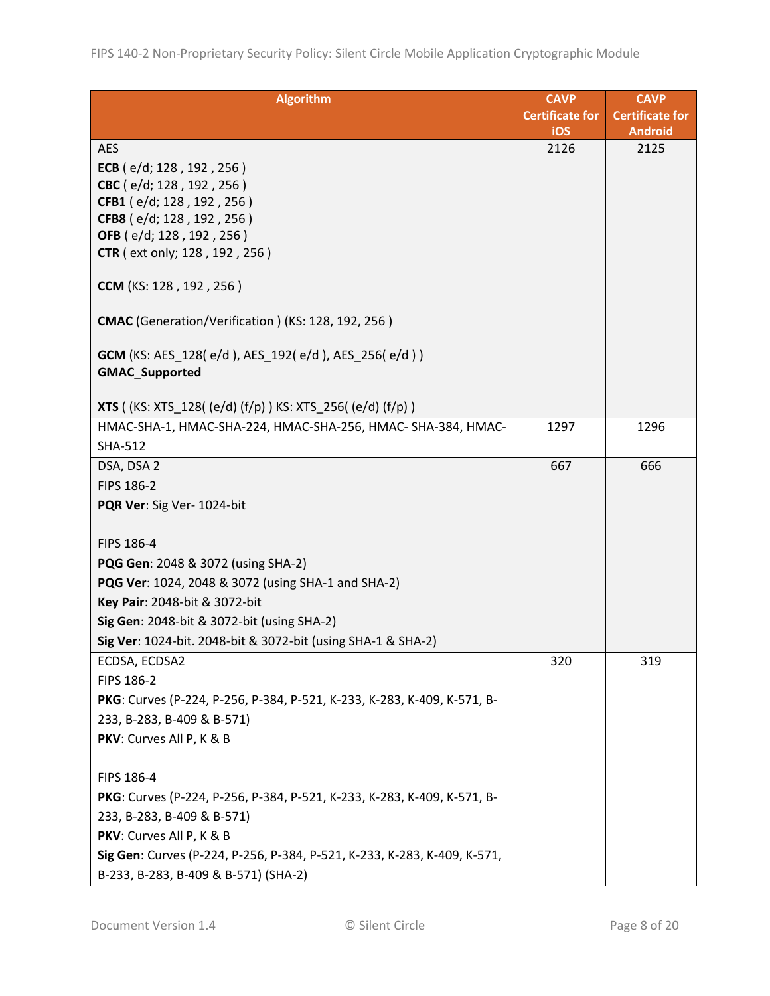| <b>Algorithm</b>                                                                               | <b>CAVP</b>                   | <b>CAVP</b>                              |
|------------------------------------------------------------------------------------------------|-------------------------------|------------------------------------------|
|                                                                                                | <b>Certificate for</b><br>iOS | <b>Certificate for</b><br><b>Android</b> |
| <b>AES</b>                                                                                     | 2126                          | 2125                                     |
| ECB $(e/d; 128, 192, 256)$                                                                     |                               |                                          |
| CBC (e/d; 128, 192, 256)                                                                       |                               |                                          |
| CFB1 (e/d; 128, 192, 256)                                                                      |                               |                                          |
| CFB8 (e/d; 128, 192, 256)                                                                      |                               |                                          |
| OFB (e/d; 128, 192, 256)                                                                       |                               |                                          |
| <b>CTR</b> (ext only; 128, 192, 256)                                                           |                               |                                          |
| <b>CCM</b> (KS: 128, 192, 256)                                                                 |                               |                                          |
| CMAC (Generation/Verification) (KS: 128, 192, 256)                                             |                               |                                          |
| <b>GCM</b> (KS: AES_128( $e/d$ ), AES_192( $e/d$ ), AES_256( $e/d$ ))<br><b>GMAC Supported</b> |                               |                                          |
| <b>XTS</b> ((KS: XTS_128((e/d)(f/p)) KS: XTS_256((e/d)(f/p))                                   |                               |                                          |
| HMAC-SHA-1, HMAC-SHA-224, HMAC-SHA-256, HMAC-SHA-384, HMAC-                                    | 1297                          | 1296                                     |
| <b>SHA-512</b>                                                                                 |                               |                                          |
| DSA, DSA 2                                                                                     | 667                           | 666                                      |
| FIPS 186-2                                                                                     |                               |                                          |
| PQR Ver: Sig Ver- 1024-bit                                                                     |                               |                                          |
|                                                                                                |                               |                                          |
| FIPS 186-4                                                                                     |                               |                                          |
| PQG Gen: 2048 & 3072 (using SHA-2)                                                             |                               |                                          |
| PQG Ver: 1024, 2048 & 3072 (using SHA-1 and SHA-2)                                             |                               |                                          |
| Key Pair: 2048-bit & 3072-bit                                                                  |                               |                                          |
| Sig Gen: 2048-bit & 3072-bit (using SHA-2)                                                     |                               |                                          |
| Sig Ver: 1024-bit. 2048-bit & 3072-bit (using SHA-1 & SHA-2)                                   |                               |                                          |
| ECDSA, ECDSA2                                                                                  | 320                           | 319                                      |
| FIPS 186-2                                                                                     |                               |                                          |
| PKG: Curves (P-224, P-256, P-384, P-521, K-233, K-283, K-409, K-571, B-                        |                               |                                          |
| 233, B-283, B-409 & B-571)                                                                     |                               |                                          |
| PKV: Curves All P, K & B                                                                       |                               |                                          |
|                                                                                                |                               |                                          |
| FIPS 186-4                                                                                     |                               |                                          |
| PKG: Curves (P-224, P-256, P-384, P-521, K-233, K-283, K-409, K-571, B-                        |                               |                                          |
| 233, B-283, B-409 & B-571)                                                                     |                               |                                          |
| PKV: Curves All P, K & B                                                                       |                               |                                          |
| Sig Gen: Curves (P-224, P-256, P-384, P-521, K-233, K-283, K-409, K-571,                       |                               |                                          |
| B-233, B-283, B-409 & B-571) (SHA-2)                                                           |                               |                                          |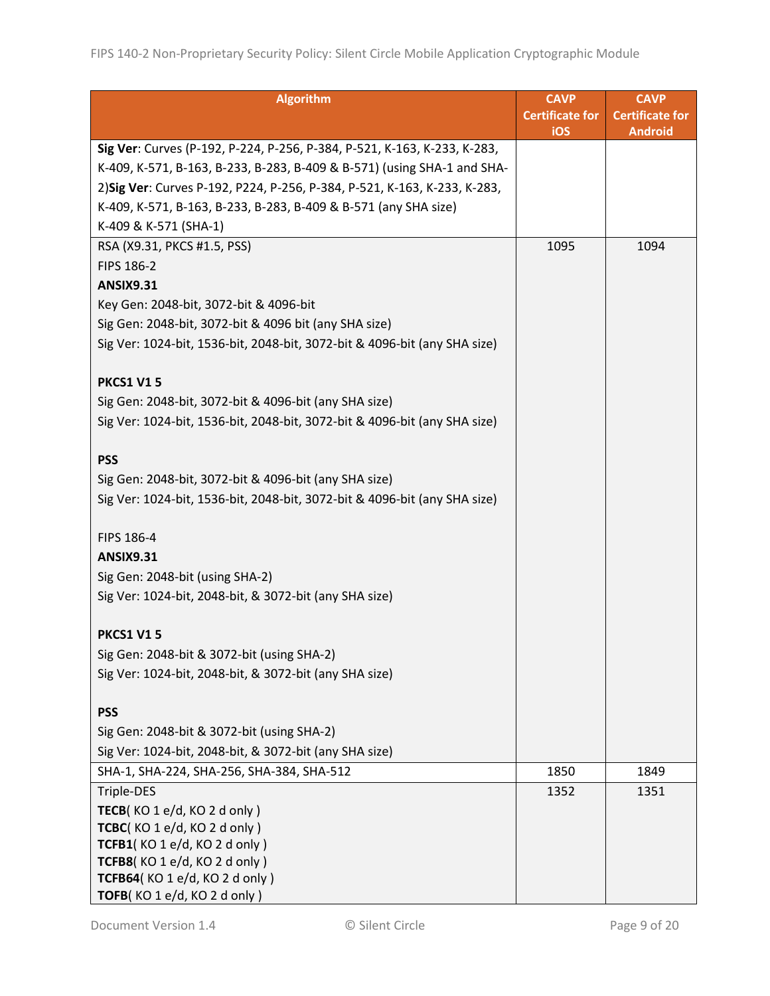| <b>CAVP</b><br><b>Certificate for</b> | <b>CAVP</b><br><b>Certificate for</b> |
|---------------------------------------|---------------------------------------|
| iOS                                   | <b>Android</b>                        |
|                                       |                                       |
|                                       |                                       |
|                                       |                                       |
|                                       |                                       |
|                                       |                                       |
| 1095                                  | 1094                                  |
|                                       |                                       |
|                                       |                                       |
|                                       |                                       |
|                                       |                                       |
|                                       |                                       |
|                                       |                                       |
|                                       |                                       |
|                                       |                                       |
|                                       |                                       |
|                                       |                                       |
|                                       |                                       |
|                                       |                                       |
|                                       |                                       |
|                                       |                                       |
|                                       |                                       |
|                                       |                                       |
|                                       |                                       |
|                                       |                                       |
|                                       |                                       |
|                                       |                                       |
|                                       |                                       |
|                                       |                                       |
|                                       |                                       |
|                                       |                                       |
|                                       |                                       |
|                                       |                                       |
| 1850                                  | 1849                                  |
| 1352                                  | 1351                                  |
|                                       |                                       |
|                                       |                                       |
|                                       |                                       |
|                                       |                                       |
|                                       |                                       |
|                                       |                                       |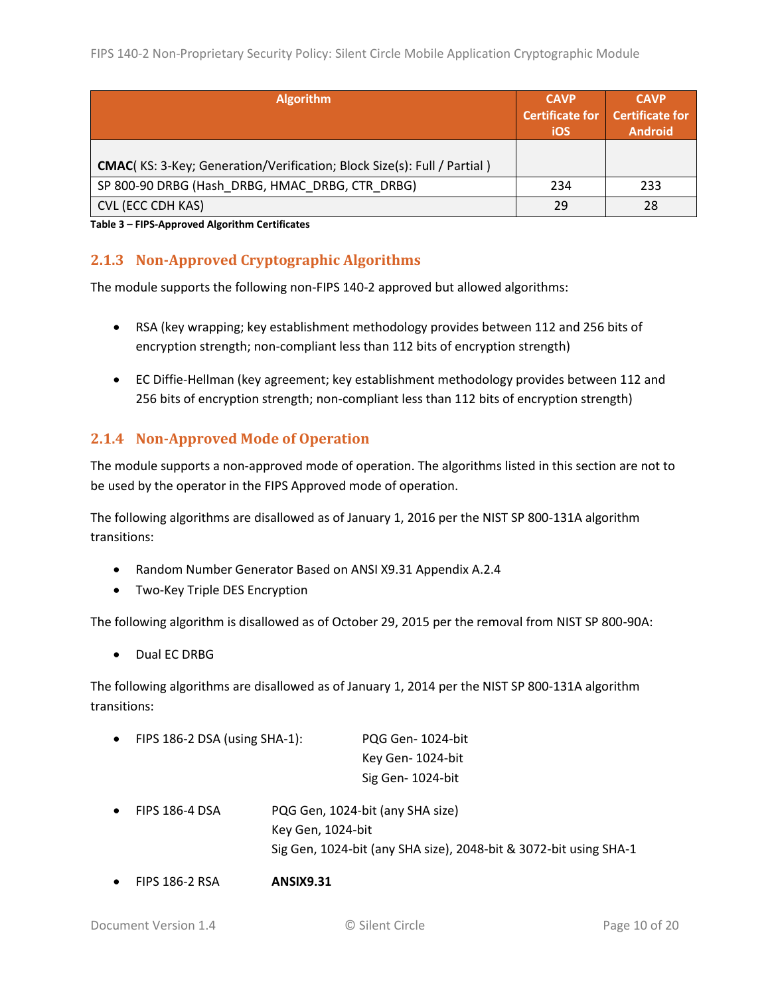| <b>Algorithm</b>                                                                | <b>CAVP</b><br><b>Certificate for</b><br>iOS | <b>CAVP</b><br><b>Certificate for</b><br><b>Android</b> |
|---------------------------------------------------------------------------------|----------------------------------------------|---------------------------------------------------------|
| <b>CMAC</b> (KS: 3-Key; Generation/Verification; Block Size(s): Full / Partial) |                                              |                                                         |
| SP 800-90 DRBG (Hash DRBG, HMAC DRBG, CTR DRBG)                                 | 234                                          | 233                                                     |
| CVL (ECC CDH KAS)                                                               | 29                                           | 28                                                      |

**Table 3 – FIPS-Approved Algorithm Certificates**

### <span id="page-9-0"></span>**2.1.3 Non-Approved Cryptographic Algorithms**

The module supports the following non-FIPS 140-2 approved but allowed algorithms:

- RSA (key wrapping; key establishment methodology provides between 112 and 256 bits of encryption strength; non-compliant less than 112 bits of encryption strength)
- EC Diffie-Hellman (key agreement; key establishment methodology provides between 112 and 256 bits of encryption strength; non-compliant less than 112 bits of encryption strength)

#### <span id="page-9-1"></span>**2.1.4 Non-Approved Mode of Operation**

The module supports a non-approved mode of operation. The algorithms listed in this section are not to be used by the operator in the FIPS Approved mode of operation.

The following algorithms are disallowed as of January 1, 2016 per the NIST SP 800-131A algorithm transitions:

- Random Number Generator Based on ANSI X9.31 Appendix A.2.4
- Two-Key Triple DES Encryption

The following algorithm is disallowed as of October 29, 2015 per the removal from NIST SP 800-90A:

Dual EC DRBG

The following algorithms are disallowed as of January 1, 2014 per the NIST SP 800-131A algorithm transitions:

FIPS 186-2 DSA (using SHA-1): PQG Gen- 1024-bit

Key Gen- 1024-bit Sig Gen- 1024-bit

- FIPS 186-4 DSA PQG Gen, 1024-bit (any SHA size) Key Gen, 1024-bit Sig Gen, 1024-bit (any SHA size), 2048-bit & 3072-bit using SHA-1
- FIPS 186-2 RSA **ANSIX9.31**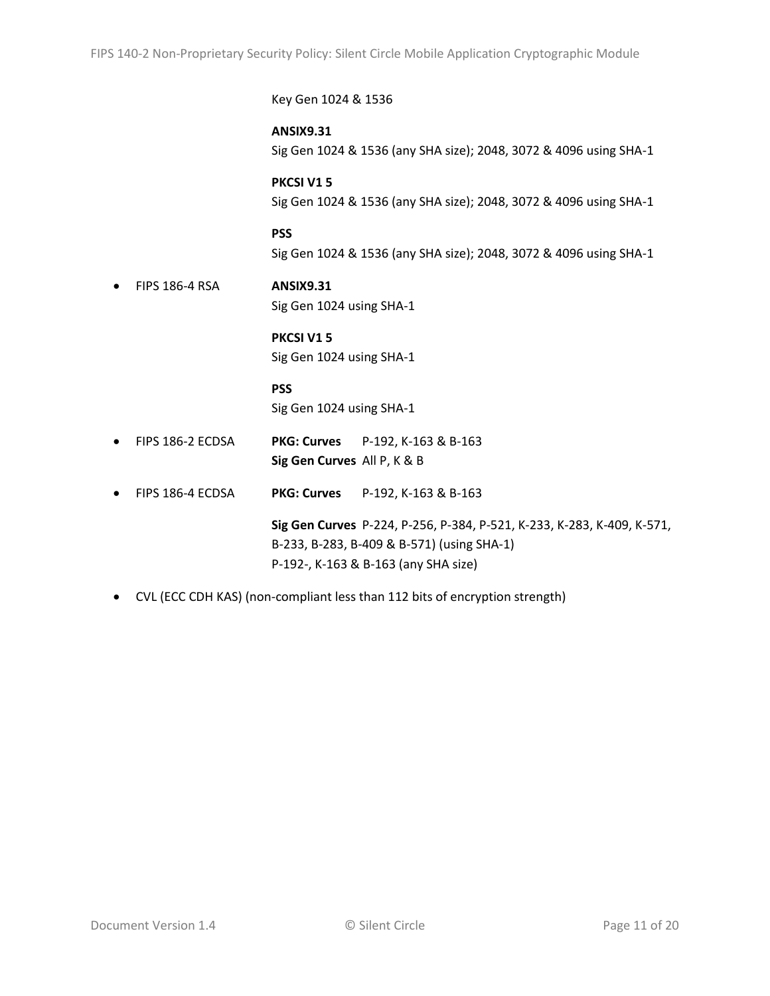Key Gen 1024 & 1536 **ANSIX9.31** Sig Gen 1024 & 1536 (any SHA size); 2048, 3072 & 4096 using SHA-1 **PKCSI V1 5** Sig Gen 1024 & 1536 (any SHA size); 2048, 3072 & 4096 using SHA-1 **PSS** Sig Gen 1024 & 1536 (any SHA size); 2048, 3072 & 4096 using SHA-1 FIPS 186-4 RSA **ANSIX9.31** Sig Gen 1024 using SHA-1 **PKCSI V1 5** Sig Gen 1024 using SHA-1 **PSS** Sig Gen 1024 using SHA-1 FIPS 186-2 ECDSA **PKG: Curves** P-192, K-163 & B-163 **Sig Gen Curves** All P, K & B

FIPS 186-4 ECDSA **PKG: Curves** P-192, K-163 & B-163

**Sig Gen Curves** P-224, P-256, P-384, P-521, K-233, K-283, K-409, K-571, B-233, B-283, B-409 & B-571) (using SHA-1) P-192-, K-163 & B-163 (any SHA size)

CVL (ECC CDH KAS) (non-compliant less than 112 bits of encryption strength)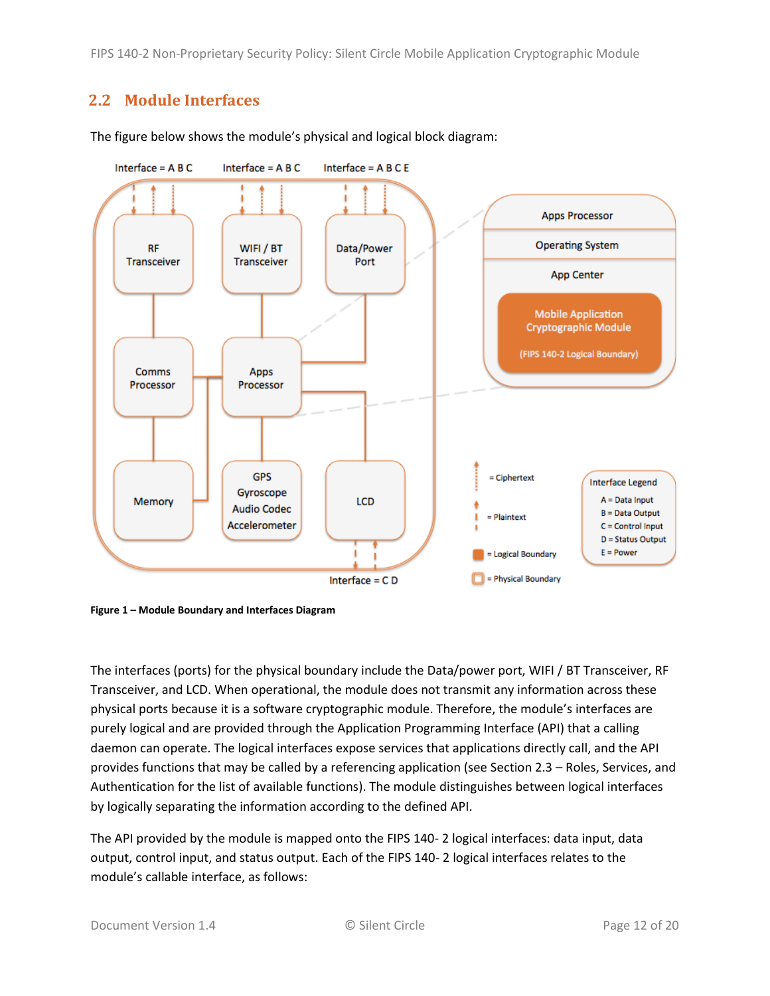FIPS 140-2 Non-Proprietary Security Policy: Silent Circle Mobile Application Cryptographic Module

## <span id="page-11-0"></span>**2.2 Module Interfaces**



The figure below shows the module's physical and logical block diagram:

<span id="page-11-1"></span>**Figure 1 – Module Boundary and Interfaces Diagram**

The interfaces (ports) for the physical boundary include the Data/power port, WIFI / BT Transceiver, RF Transceiver, and LCD. When operational, the module does not transmit any information across these physical ports because it is a software cryptographic module. Therefore, the module's interfaces are purely logical and are provided through the Application Programming Interface (API) that a calling daemon can operate. The logical interfaces expose services that applications directly call, and the API provides functions that may be called by a referencing application (see Sectio[n 2.3](#page-12-0) – [Roles, Services, and](#page-12-0)  [Authentication](#page-12-0) for the list of available functions). The module distinguishes between logical interfaces by logically separating the information according to the defined API.

The API provided by the module is mapped onto the FIPS 140- 2 logical interfaces: data input, data output, control input, and status output. Each of the FIPS 140- 2 logical interfaces relates to the module's callable interface, as follows: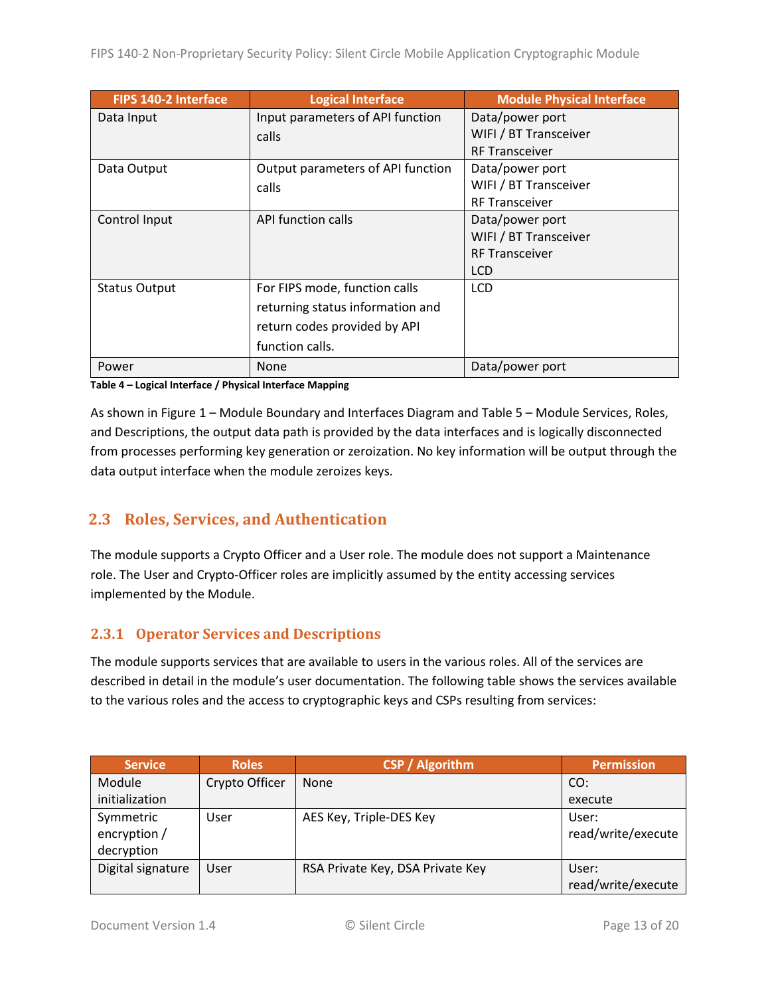| FIPS 140-2 Interface | <b>Logical Interface</b>          | <b>Module Physical Interface</b> |
|----------------------|-----------------------------------|----------------------------------|
| Data Input           | Input parameters of API function  | Data/power port                  |
|                      | calls                             | WIFI / BT Transceiver            |
|                      |                                   | <b>RF Transceiver</b>            |
| Data Output          | Output parameters of API function | Data/power port                  |
|                      | calls                             | WIFI / BT Transceiver            |
|                      |                                   | <b>RF Transceiver</b>            |
| Control Input        | API function calls                | Data/power port                  |
|                      |                                   | WIFI / BT Transceiver            |
|                      |                                   | <b>RF Transceiver</b>            |
|                      |                                   | <b>LCD</b>                       |
| <b>Status Output</b> | For FIPS mode, function calls     | <b>LCD</b>                       |
|                      | returning status information and  |                                  |
|                      | return codes provided by API      |                                  |
|                      | function calls.                   |                                  |
| Power                | None                              | Data/power port                  |

**Table 4 – Logical Interface / Physical Interface Mapping**

As shown in Figure 1 – [Module Boundary and Interfaces Diagram](#page-11-1) and Table 5 – Module [Services, Roles,](#page-13-3) [and Descriptions,](#page-13-3) the output data path is provided by the data interfaces and is logically disconnected from processes performing key generation or zeroization. No key information will be output through the data output interface when the module zeroizes keys.

## <span id="page-12-0"></span>**2.3 Roles, Services, and Authentication**

The module supports a Crypto Officer and a User role. The module does not support a Maintenance role. The User and Crypto-Officer roles are implicitly assumed by the entity accessing services implemented by the Module.

### <span id="page-12-1"></span>**2.3.1 Operator Services and Descriptions**

The module supports services that are available to users in the various roles. All of the services are described in detail in the module's user documentation. The following table shows the services available to the various roles and the access to cryptographic keys and CSPs resulting from services:

| <b>Service</b>    | <b>Roles</b>   | <b>CSP / Algorithm</b>           | <b>Permission</b>  |
|-------------------|----------------|----------------------------------|--------------------|
| Module            | Crypto Officer | <b>None</b>                      | CO:                |
| initialization    |                |                                  | execute            |
| Symmetric         | User           | AES Key, Triple-DES Key          | User:              |
| encryption /      |                |                                  | read/write/execute |
| decryption        |                |                                  |                    |
| Digital signature | User           | RSA Private Key, DSA Private Key | User:              |
|                   |                |                                  | read/write/execute |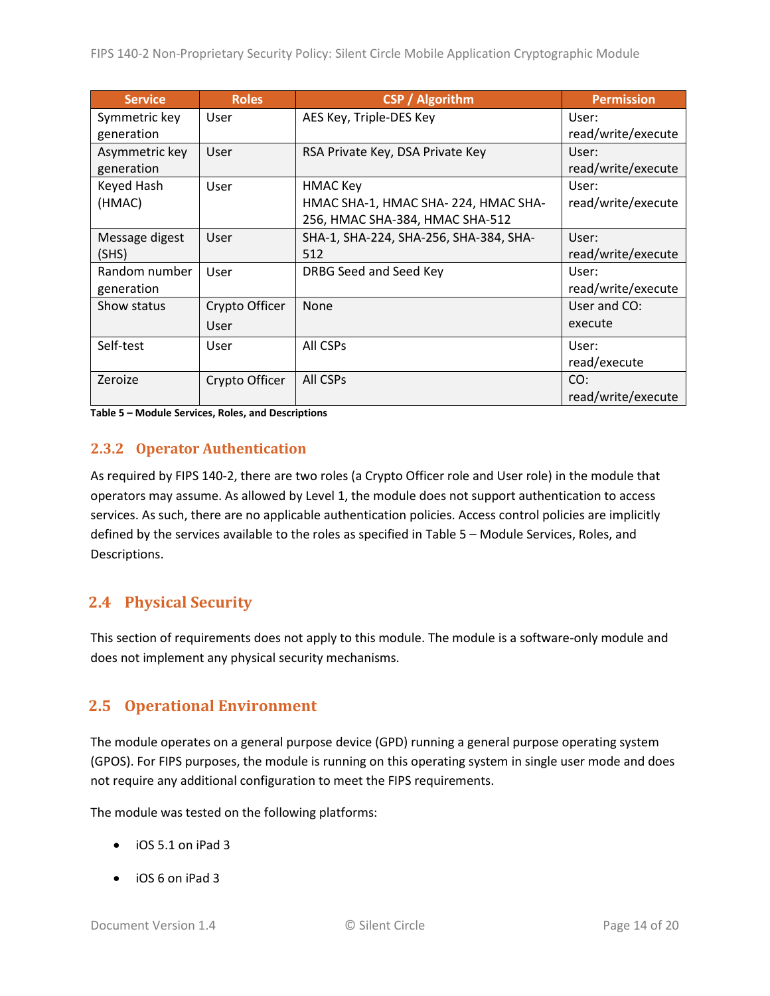| <b>Service</b> | <b>Roles</b>   | <b>CSP / Algorithm</b>                 | <b>Permission</b>  |
|----------------|----------------|----------------------------------------|--------------------|
| Symmetric key  | User           | AES Key, Triple-DES Key                | User:              |
| generation     |                |                                        | read/write/execute |
| Asymmetric key | User           | RSA Private Key, DSA Private Key       | User:              |
| generation     |                |                                        | read/write/execute |
| Keyed Hash     | User           | <b>HMAC Key</b>                        | User:              |
| (HMAC)         |                | HMAC SHA-1, HMAC SHA-224, HMAC SHA-    | read/write/execute |
|                |                | 256, HMAC SHA-384, HMAC SHA-512        |                    |
| Message digest | User           | SHA-1, SHA-224, SHA-256, SHA-384, SHA- | User:              |
| (SHS)          |                | 512                                    | read/write/execute |
| Random number  | User           | DRBG Seed and Seed Key                 | User:              |
| generation     |                |                                        | read/write/execute |
| Show status    | Crypto Officer | <b>None</b>                            | User and CO:       |
|                | User           |                                        | execute            |
| Self-test      | User           | All CSPs                               | User:              |
|                |                |                                        | read/execute       |
| Zeroize        | Crypto Officer | All CSPs                               | CO:                |
|                |                |                                        | read/write/execute |

<span id="page-13-3"></span>**Table 5 – Module Services, Roles, and Descriptions**

#### <span id="page-13-0"></span>**2.3.2 Operator Authentication**

As required by FIPS 140-2, there are two roles (a Crypto Officer role and User role) in the module that operators may assume. As allowed by Level 1, the module does not support authentication to access services. As such, there are no applicable authentication policies. Access control policies are implicitly defined by the services available to the roles as specified in Table 5 – Module [Services, Roles,](#page-13-3) and [Descriptions.](#page-13-3)

## <span id="page-13-1"></span>**2.4 Physical Security**

This section of requirements does not apply to this module. The module is a software-only module and does not implement any physical security mechanisms.

## <span id="page-13-2"></span>**2.5 Operational Environment**

The module operates on a general purpose device (GPD) running a general purpose operating system (GPOS). For FIPS purposes, the module is running on this operating system in single user mode and does not require any additional configuration to meet the FIPS requirements.

The module was tested on the following platforms:

- iOS 5.1 on iPad 3
- iOS 6 on iPad 3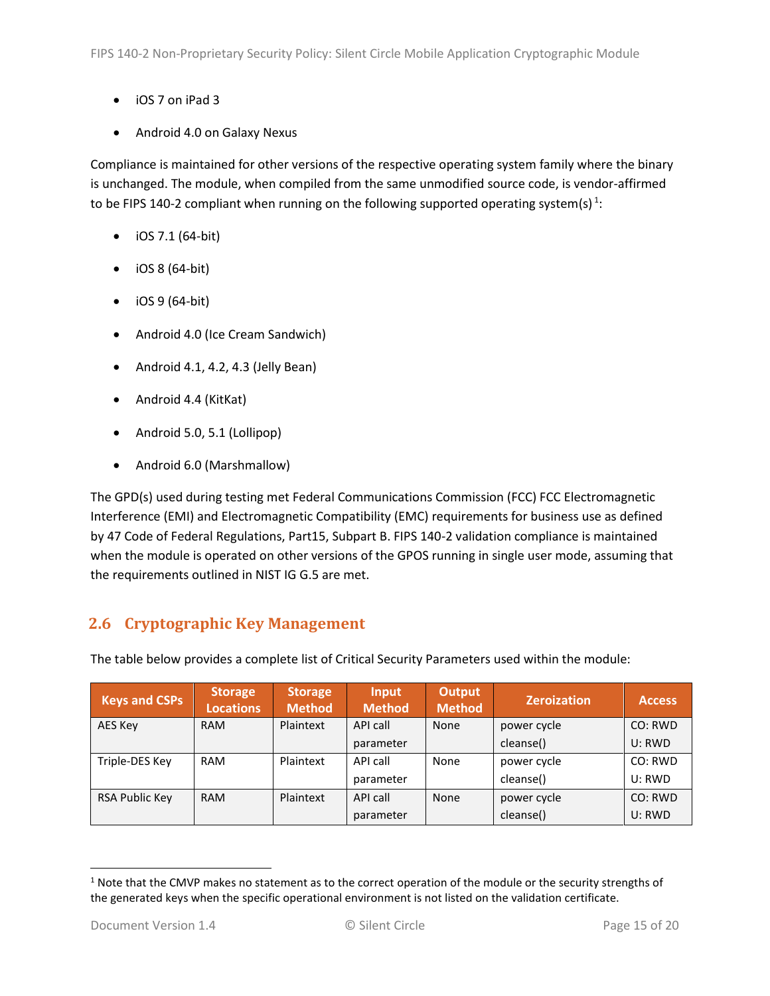- iOS 7 on iPad 3
- Android 4.0 on Galaxy Nexus

Compliance is maintained for other versions of the respective operating system family where the binary is unchanged. The module, when compiled from the same unmodified source code, is vendor-affirmed to be FIPS 140-2 compliant when running on the following supported operating system(s)  $^{1}$ :

- $\bullet$  iOS 7.1 (64-bit)
- $\bullet$  iOS 8 (64-bit)
- $\bullet$  iOS 9 (64-bit)
- Android 4.0 (Ice Cream Sandwich)
- Android 4.1, 4.2, 4.3 (Jelly Bean)
- Android 4.4 (KitKat)
- Android 5.0, 5.1 (Lollipop)
- Android 6.0 (Marshmallow)

The GPD(s) used during testing met Federal Communications Commission (FCC) FCC Electromagnetic Interference (EMI) and Electromagnetic Compatibility (EMC) requirements for business use as defined by 47 Code of Federal Regulations, Part15, Subpart B. FIPS 140-2 validation compliance is maintained when the module is operated on other versions of the GPOS running in single user mode, assuming that the requirements outlined in NIST IG G.5 are met.

## <span id="page-14-0"></span>**2.6 Cryptographic Key Management**

The table below provides a complete list of Critical Security Parameters used within the module:

| <b>Keys and CSPs</b> | <b>Storage</b><br><b>Locations</b> | <b>Storage</b><br><b>Method</b> | Input<br><b>Method</b> | <b>Output</b><br><b>Method</b> | <b>Zeroization</b> | <b>Access</b> |
|----------------------|------------------------------------|---------------------------------|------------------------|--------------------------------|--------------------|---------------|
| AES Key              | <b>RAM</b>                         | Plaintext                       | API call               | None                           | power cycle        | CO: RWD       |
|                      |                                    |                                 | parameter              |                                | cleanse()          | U: RWD        |
| Triple-DES Key       | <b>RAM</b>                         | Plaintext                       | API call               | None                           | power cycle        | CO: RWD       |
|                      |                                    |                                 | parameter              |                                | cleanse()          | U: RWD        |
| RSA Public Key       | <b>RAM</b>                         | Plaintext                       | API call               | None                           | power cycle        | CO: RWD       |
|                      |                                    |                                 | parameter              |                                | cleanse()          | U: RWD        |

l

 $1$  Note that the CMVP makes no statement as to the correct operation of the module or the security strengths of the generated keys when the specific operational environment is not listed on the validation certificate.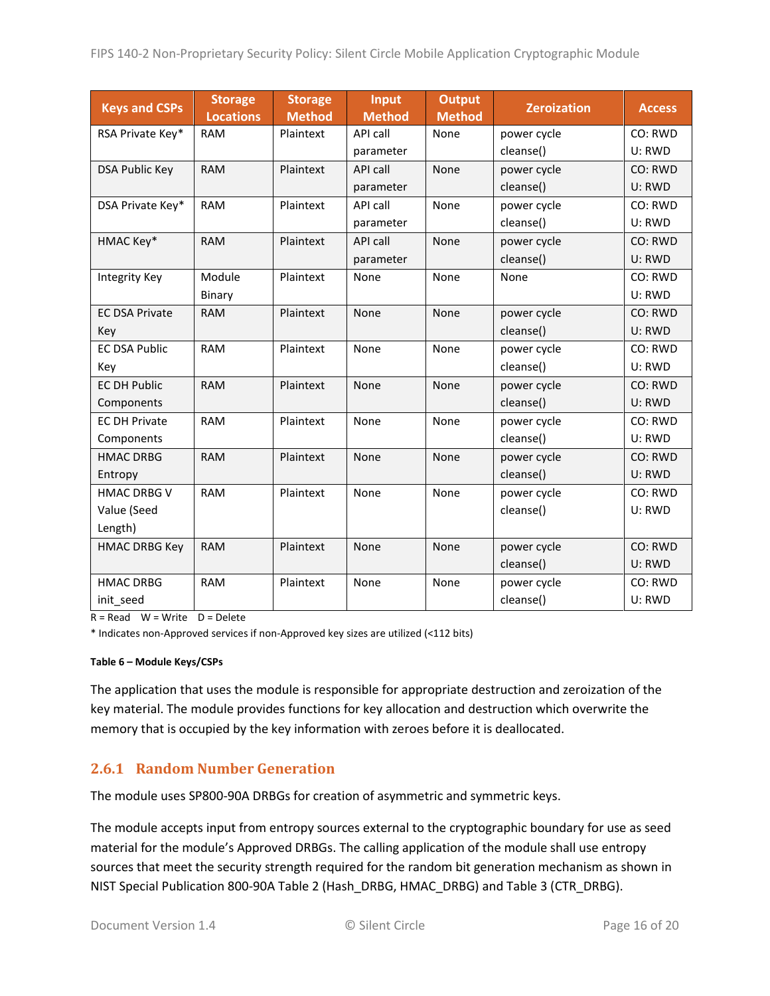| <b>Keys and CSPs</b>  | <b>Storage</b><br><b>Locations</b> | <b>Storage</b><br><b>Method</b> | Input<br><b>Method</b> | <b>Output</b><br><b>Method</b> | <b>Zeroization</b> | <b>Access</b> |
|-----------------------|------------------------------------|---------------------------------|------------------------|--------------------------------|--------------------|---------------|
| RSA Private Key*      | <b>RAM</b>                         | Plaintext                       | API call               | None                           | power cycle        | CO: RWD       |
|                       |                                    |                                 | parameter              |                                | cleanse()          | U: RWD        |
| <b>DSA Public Key</b> | <b>RAM</b>                         | Plaintext                       | API call               | <b>None</b>                    | power cycle        | CO: RWD       |
|                       |                                    |                                 | parameter              |                                | cleanse()          | U: RWD        |
| DSA Private Key*      | <b>RAM</b>                         | Plaintext                       | API call               | None                           | power cycle        | CO: RWD       |
|                       |                                    |                                 | parameter              |                                | cleanse()          | U: RWD        |
| HMAC Key*             | <b>RAM</b>                         | Plaintext                       | <b>API call</b>        | None                           | power cycle        | CO: RWD       |
|                       |                                    |                                 | parameter              |                                | cleanse()          | U: RWD        |
| Integrity Key         | Module                             | Plaintext                       | None                   | None                           | None               | CO: RWD       |
|                       | Binary                             |                                 |                        |                                |                    | U: RWD        |
| <b>EC DSA Private</b> | <b>RAM</b>                         | Plaintext                       | None                   | None                           | power cycle        | CO: RWD       |
| Key                   |                                    |                                 |                        |                                | cleanse()          | U: RWD        |
| <b>EC DSA Public</b>  | <b>RAM</b>                         | Plaintext                       | None                   | None                           | power cycle        | CO: RWD       |
| Key                   |                                    |                                 |                        |                                | cleanse()          | U: RWD        |
| <b>EC DH Public</b>   | <b>RAM</b>                         | Plaintext                       | None                   | None                           | power cycle        | CO: RWD       |
| Components            |                                    |                                 |                        |                                | cleanse()          | U: RWD        |
| <b>EC DH Private</b>  | <b>RAM</b>                         | Plaintext                       | None                   | None                           | power cycle        | CO: RWD       |
| Components            |                                    |                                 |                        |                                | cleanse()          | U: RWD        |
| <b>HMAC DRBG</b>      | <b>RAM</b>                         | Plaintext                       | None                   | None                           | power cycle        | CO: RWD       |
| Entropy               |                                    |                                 |                        |                                | cleanse()          | U: RWD        |
| <b>HMAC DRBG V</b>    | <b>RAM</b>                         | Plaintext                       | None                   | None                           | power cycle        | CO: RWD       |
| Value (Seed           |                                    |                                 |                        |                                | cleanse()          | U: RWD        |
| Length)               |                                    |                                 |                        |                                |                    |               |
| <b>HMAC DRBG Key</b>  | <b>RAM</b>                         | Plaintext                       | None                   | None                           | power cycle        | CO: RWD       |
|                       |                                    |                                 |                        |                                | cleanse()          | U: RWD        |
| <b>HMAC DRBG</b>      | <b>RAM</b>                         | Plaintext                       | None                   | None                           | power cycle        | CO: RWD       |
| init_seed             |                                    |                                 |                        |                                | cleanse()          | U: RWD        |

 $R = Read \tW = Write \tD = Delete$ 

\* Indicates non-Approved services if non-Approved key sizes are utilized (<112 bits)

#### **Table 6 – Module Keys/CSPs**

The application that uses the module is responsible for appropriate destruction and zeroization of the key material. The module provides functions for key allocation and destruction which overwrite the memory that is occupied by the key information with zeroes before it is deallocated.

### <span id="page-15-0"></span>**2.6.1 Random Number Generation**

The module uses SP800-90A DRBGs for creation of asymmetric and symmetric keys.

The module accepts input from entropy sources external to the cryptographic boundary for use as seed material for the module's Approved DRBGs. The calling application of the module shall use entropy sources that meet the security strength required for the random bit generation mechanism as shown in NIST Special Publication 800-90A Table 2 (Hash\_DRBG, HMAC\_DRBG) and Table 3 (CTR\_DRBG).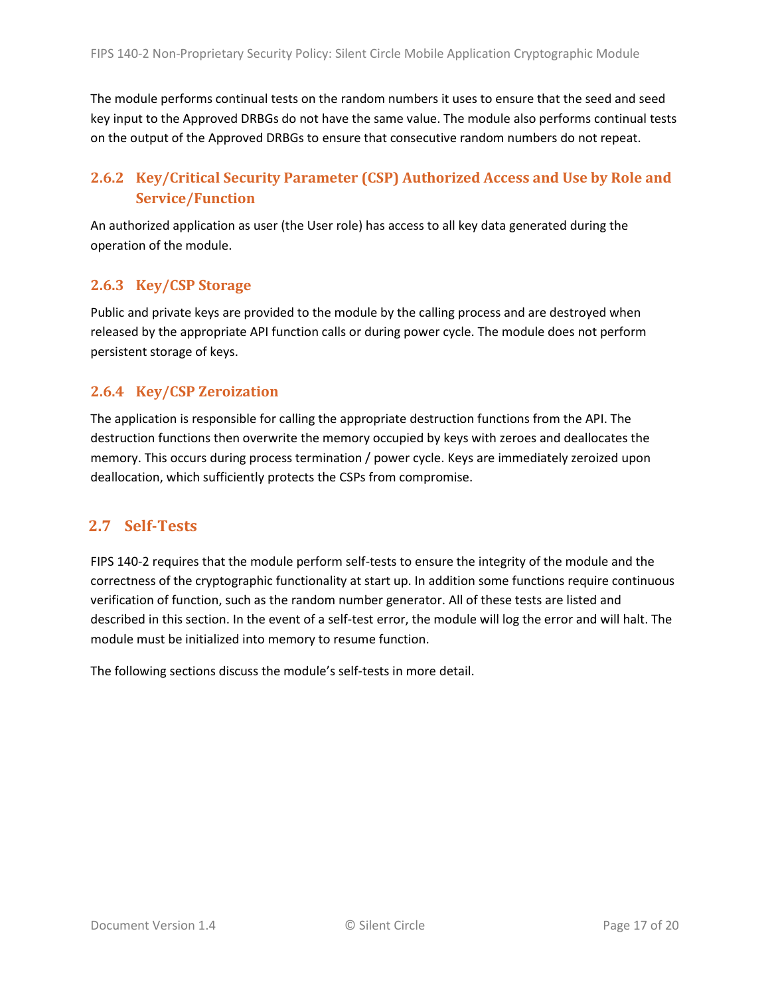The module performs continual tests on the random numbers it uses to ensure that the seed and seed key input to the Approved DRBGs do not have the same value. The module also performs continual tests on the output of the Approved DRBGs to ensure that consecutive random numbers do not repeat.

## <span id="page-16-0"></span>**2.6.2 Key/Critical Security Parameter (CSP) Authorized Access and Use by Role and Service/Function**

An authorized application as user (the User role) has access to all key data generated during the operation of the module.

#### <span id="page-16-1"></span>**2.6.3 Key/CSP Storage**

Public and private keys are provided to the module by the calling process and are destroyed when released by the appropriate API function calls or during power cycle. The module does not perform persistent storage of keys.

#### <span id="page-16-2"></span>**2.6.4 Key/CSP Zeroization**

The application is responsible for calling the appropriate destruction functions from the API. The destruction functions then overwrite the memory occupied by keys with zeroes and deallocates the memory. This occurs during process termination / power cycle. Keys are immediately zeroized upon deallocation, which sufficiently protects the CSPs from compromise.

### <span id="page-16-3"></span>**2.7 Self-Tests**

FIPS 140-2 requires that the module perform self-tests to ensure the integrity of the module and the correctness of the cryptographic functionality at start up. In addition some functions require continuous verification of function, such as the random number generator. All of these tests are listed and described in this section. In the event of a self-test error, the module will log the error and will halt. The module must be initialized into memory to resume function.

<span id="page-16-4"></span>The following sections discuss the module's self-tests in more detail.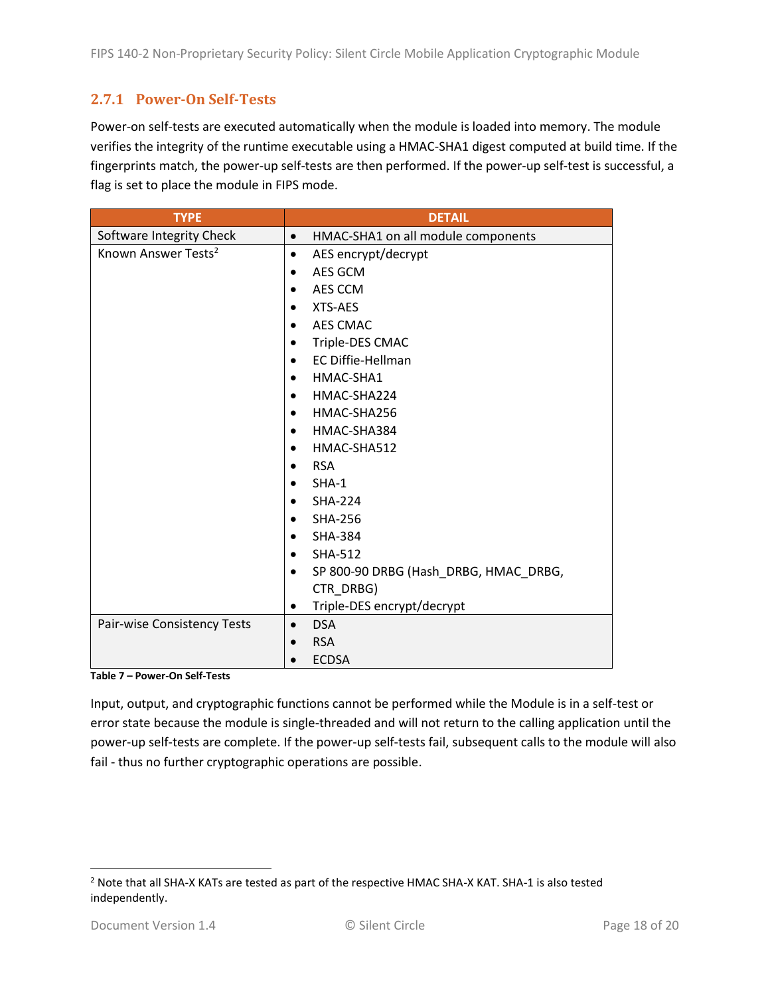## **2.7.1 Power-On Self-Tests**

Power-on self-tests are executed automatically when the module is loaded into memory. The module verifies the integrity of the runtime executable using a HMAC-SHA1 digest computed at build time. If the fingerprints match, the power-up self-tests are then performed. If the power-up self-test is successful, a flag is set to place the module in FIPS mode.

| <b>TYPE</b>                     | <b>DETAIL</b>                                   |  |  |  |
|---------------------------------|-------------------------------------------------|--|--|--|
| Software Integrity Check        | HMAC-SHA1 on all module components<br>$\bullet$ |  |  |  |
| Known Answer Tests <sup>2</sup> | AES encrypt/decrypt<br>$\bullet$                |  |  |  |
|                                 | AES GCM<br>$\bullet$                            |  |  |  |
|                                 | AES CCM                                         |  |  |  |
|                                 | XTS-AES                                         |  |  |  |
|                                 | <b>AES CMAC</b>                                 |  |  |  |
|                                 | Triple-DES CMAC                                 |  |  |  |
|                                 | <b>EC Diffie-Hellman</b><br>$\bullet$           |  |  |  |
|                                 | HMAC-SHA1<br>$\bullet$                          |  |  |  |
|                                 | HMAC-SHA224<br>$\bullet$                        |  |  |  |
|                                 | HMAC-SHA256                                     |  |  |  |
|                                 | HMAC-SHA384<br>$\bullet$                        |  |  |  |
|                                 | HMAC-SHA512<br>$\bullet$                        |  |  |  |
|                                 | <b>RSA</b><br>$\bullet$                         |  |  |  |
|                                 | SHA-1                                           |  |  |  |
|                                 | <b>SHA-224</b>                                  |  |  |  |
|                                 | <b>SHA-256</b><br>$\bullet$                     |  |  |  |
|                                 | <b>SHA-384</b><br>$\bullet$                     |  |  |  |
|                                 | SHA-512                                         |  |  |  |
|                                 | SP 800-90 DRBG (Hash_DRBG, HMAC_DRBG,           |  |  |  |
|                                 | CTR_DRBG)                                       |  |  |  |
|                                 | Triple-DES encrypt/decrypt<br>٠                 |  |  |  |
| Pair-wise Consistency Tests     | <b>DSA</b><br>$\bullet$                         |  |  |  |
|                                 | <b>RSA</b><br>$\bullet$                         |  |  |  |
|                                 | <b>ECDSA</b>                                    |  |  |  |

**Table 7 – Power-On Self-Tests**

Input, output, and cryptographic functions cannot be performed while the Module is in a self-test or error state because the module is single-threaded and will not return to the calling application until the power-up self-tests are complete. If the power-up self-tests fail, subsequent calls to the module will also fail - thus no further cryptographic operations are possible.

l

<sup>2</sup> Note that all SHA-X KATs are tested as part of the respective HMAC SHA-X KAT. SHA-1 is also tested independently.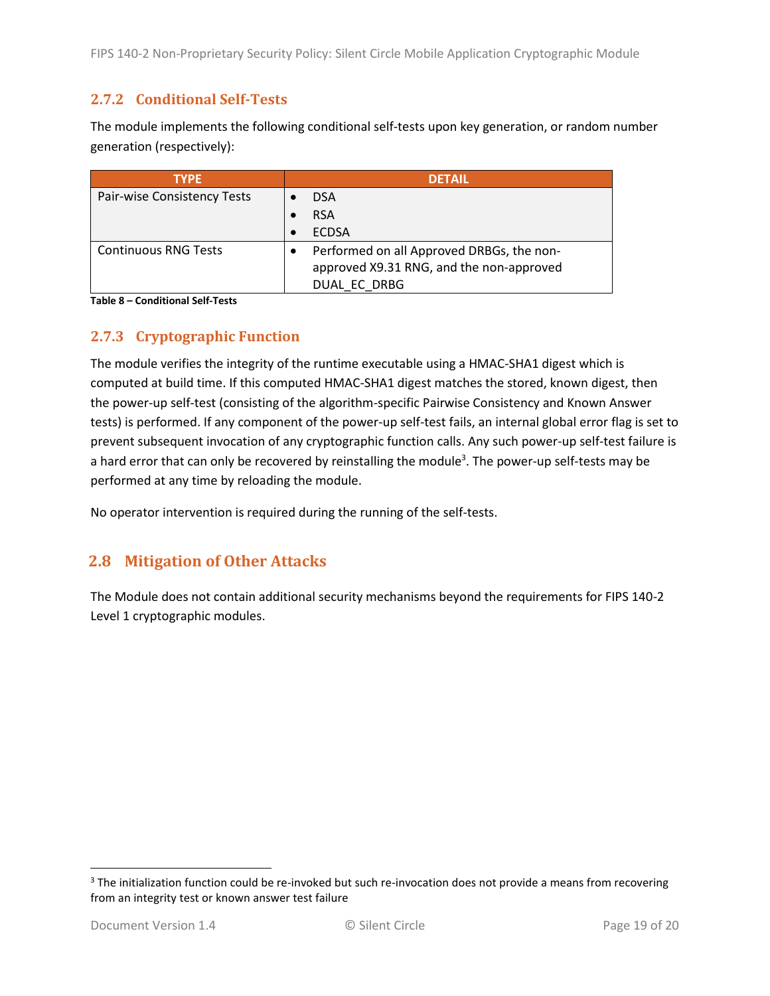### <span id="page-18-0"></span>**2.7.2 Conditional Self-Tests**

The module implements the following conditional self-tests upon key generation, or random number generation (respectively):

| <b>TYPE</b>                 | <b>DETAIL</b>                             |  |  |
|-----------------------------|-------------------------------------------|--|--|
| Pair-wise Consistency Tests | <b>DSA</b>                                |  |  |
|                             | <b>RSA</b>                                |  |  |
|                             | <b>ECDSA</b>                              |  |  |
| <b>Continuous RNG Tests</b> | Performed on all Approved DRBGs, the non- |  |  |
|                             | approved X9.31 RNG, and the non-approved  |  |  |
|                             | DUAL EC DRBG                              |  |  |

**Table 8 – Conditional Self-Tests**

### <span id="page-18-1"></span>**2.7.3 Cryptographic Function**

The module verifies the integrity of the runtime executable using a HMAC-SHA1 digest which is computed at build time. If this computed HMAC-SHA1 digest matches the stored, known digest, then the power-up self-test (consisting of the algorithm-specific Pairwise Consistency and Known Answer tests) is performed. If any component of the power-up self-test fails, an internal global error flag is set to prevent subsequent invocation of any cryptographic function calls. Any such power-up self-test failure is a hard error that can only be recovered by reinstalling the module<sup>3</sup>. The power-up self-tests may be performed at any time by reloading the module.

No operator intervention is required during the running of the self-tests.

## <span id="page-18-2"></span>**2.8 Mitigation of Other Attacks**

The Module does not contain additional security mechanisms beyond the requirements for FIPS 140-2 Level 1 cryptographic modules.

l

<sup>&</sup>lt;sup>3</sup> The initialization function could be re-invoked but such re-invocation does not provide a means from recovering from an integrity test or known answer test failure